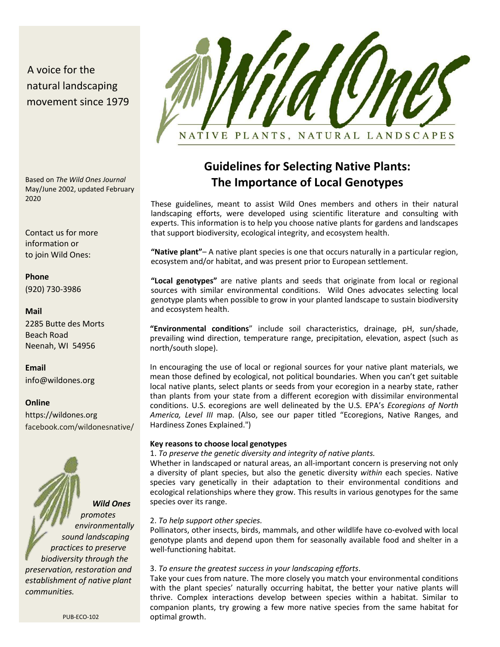## A voice for the natural landscaping movement since 1979



Based on *The Wild Ones Journal*  May/June 2002, updated February 2020

Contact us for more information or to join Wild Ones:

# **Phone**

(920) 730-3986

## **Mail**

2285 Butte des Morts Beach Road Neenah, WI 54956

## **Email**

[info@wildones.org](mailto:info@wildones.org) 

### **Online**

[https://wildones.org](https://wildones.org/)  facebook.com/wildonesnative/



# **Guidelines for Selecting Native Plants: The Importance of Local Genotypes**

These guidelines, meant to assist Wild Ones members and others in their natural landscaping efforts, were developed using scientific literature and consulting with experts. This information is to help you choose native plants for gardens and landscapes that support biodiversity, ecological integrity, and ecosystem health.

**"Native plant"**– A native plant species is one that occurs naturally in a particular region, ecosystem and/or habitat, and was present prior to European settlement.

**"Local genotypes"** are native plants and seeds that originate from local or regional sources with similar environmental conditions. Wild Ones advocates selecting local genotype plants when possible to grow in your planted landscape to sustain biodiversity and ecosystem health.

**"Environmental conditions**" include soil characteristics, drainage, pH, sun/shade, prevailing wind direction, temperature range, precipitation, elevation, aspect (such as north/south slope).

In encouraging the use of local or regional sources for your native plant materials, we mean those defined by ecological, not political boundaries. When you can't get suitable local native plants, select plants or seeds from your ecoregion in a nearby state, rather than plants from your state from a different ecoregion with dissimilar environmental conditions. U.S. ecoregions are well delineated by the U.S. EPA's *Ecoregions of North America, Level III* map. (Also, see our paper titled "Ecoregions, Native Ranges, and Hardiness Zones Explained.")

### **Key reasons to choose local genotypes**

1. *To preserve the genetic diversity and integrity of native plants.*

Whether in landscaped or natural areas, an all-important concern is preserving not only a diversity of plant species, but also the genetic diversity *within* each species. Native species vary genetically in their adaptation to their environmental conditions and ecological relationships where they grow. This results in various genotypes for the same species over its range.

## 2. *To help support other species.*

Pollinators, other insects, birds, mammals, and other wildlife have co-evolved with local genotype plants and depend upon them for seasonally available food and shelter in a well-functioning habitat.

### 3. *To ensure the greatest success in your landscaping efforts*.

Take your cues from nature. The more closely you match your environmental conditions with the plant species' naturally occurring habitat, the better your native plants will thrive. Complex interactions develop between species within a habitat. Similar to companion plants, try growing a few more native species from the same habitat for optimal growth.